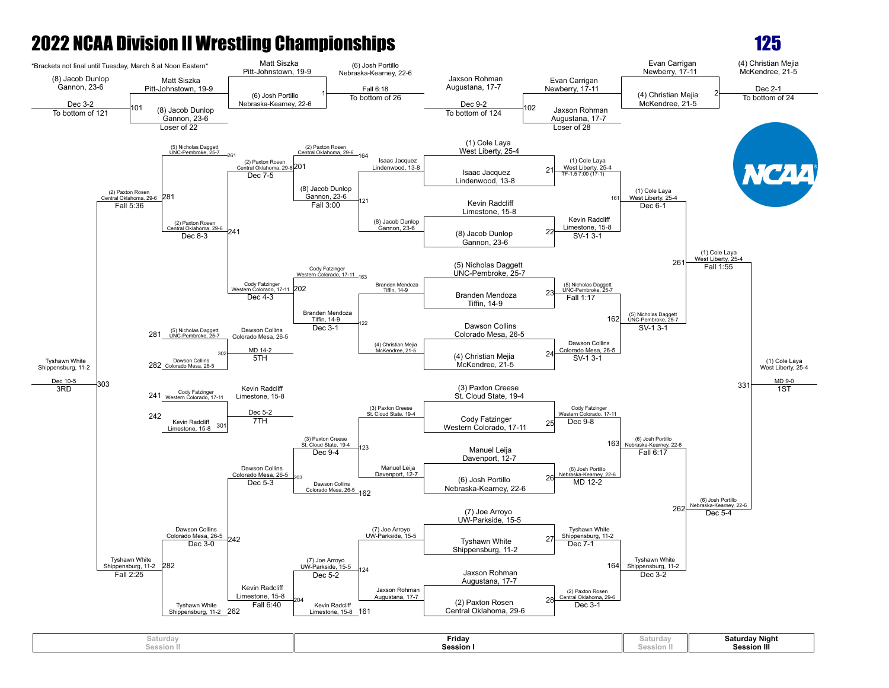

| Jaturdav<br>Session II | Fridav<br><b>Session</b> | ,<br>, , , , , , , , , , , | Saturday Night<br>$\cdots$<br><b>Session III</b> |
|------------------------|--------------------------|----------------------------|--------------------------------------------------|
|------------------------|--------------------------|----------------------------|--------------------------------------------------|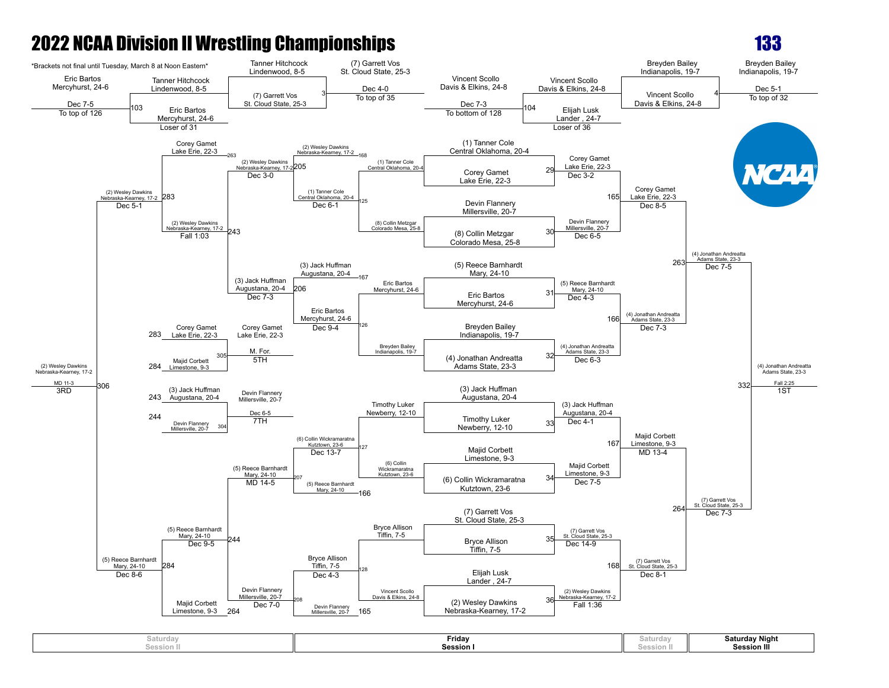

| saturday<br>Session li | Friday<br><b>Session I</b> | -----<br><b>PEPPIOII</b> I | <b>Saturday Night</b><br><b>Session III</b> |
|------------------------|----------------------------|----------------------------|---------------------------------------------|
|------------------------|----------------------------|----------------------------|---------------------------------------------|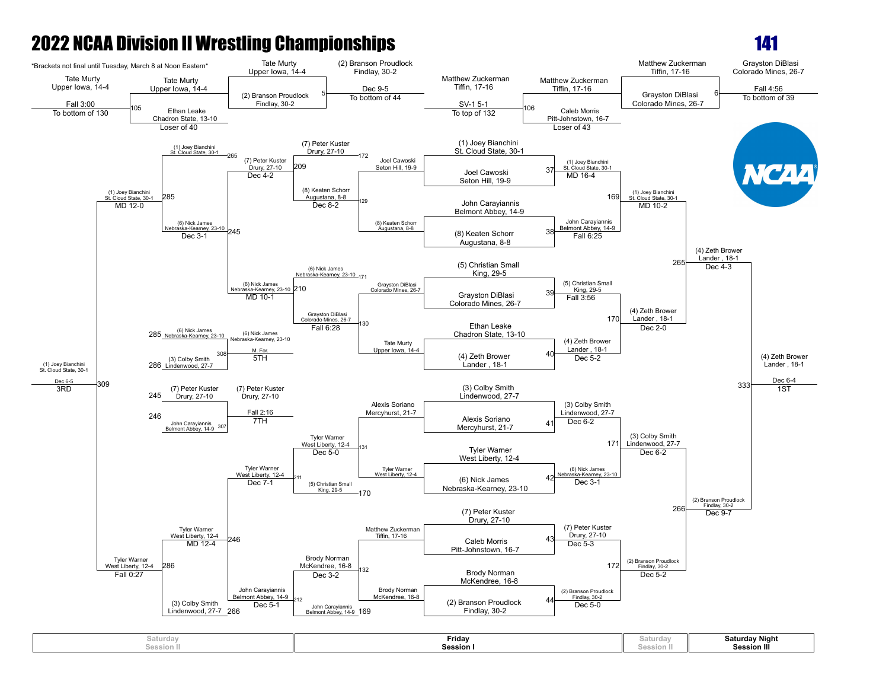

| Friday<br>Saturday<br>Saturda<br><b>Session</b><br>Tacci.<br>Session<br>session<br>. | <b>Saturday Night</b><br><b>Session III</b> |
|--------------------------------------------------------------------------------------|---------------------------------------------|
|--------------------------------------------------------------------------------------|---------------------------------------------|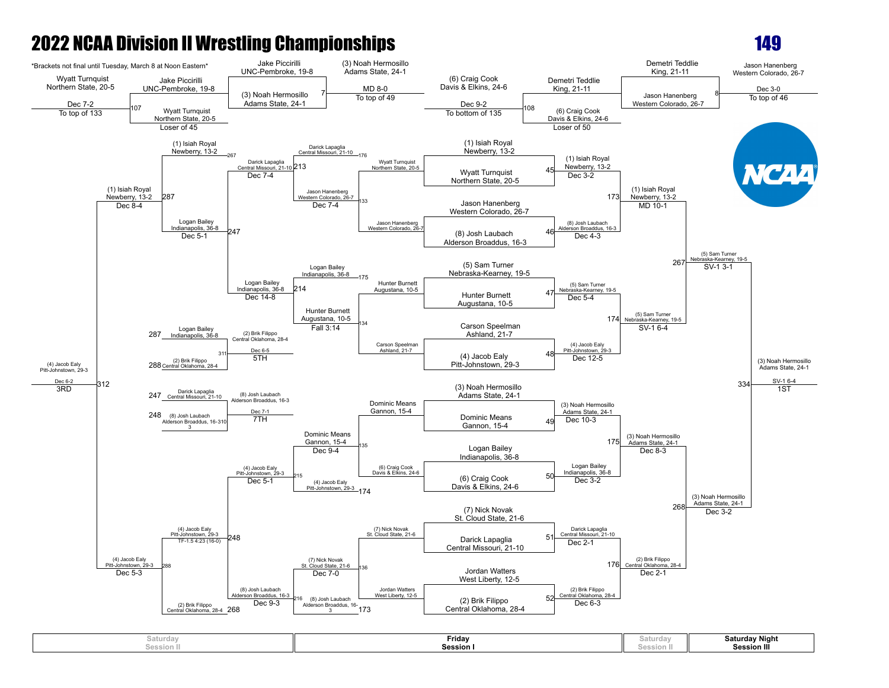

| aturdayد            | Friday  | ∍aturda⊆        | <b>Saturday Night</b> |
|---------------------|---------|-----------------|-----------------------|
| session II<br>- aas | Session | __<br>Session I | <b>Session III</b>    |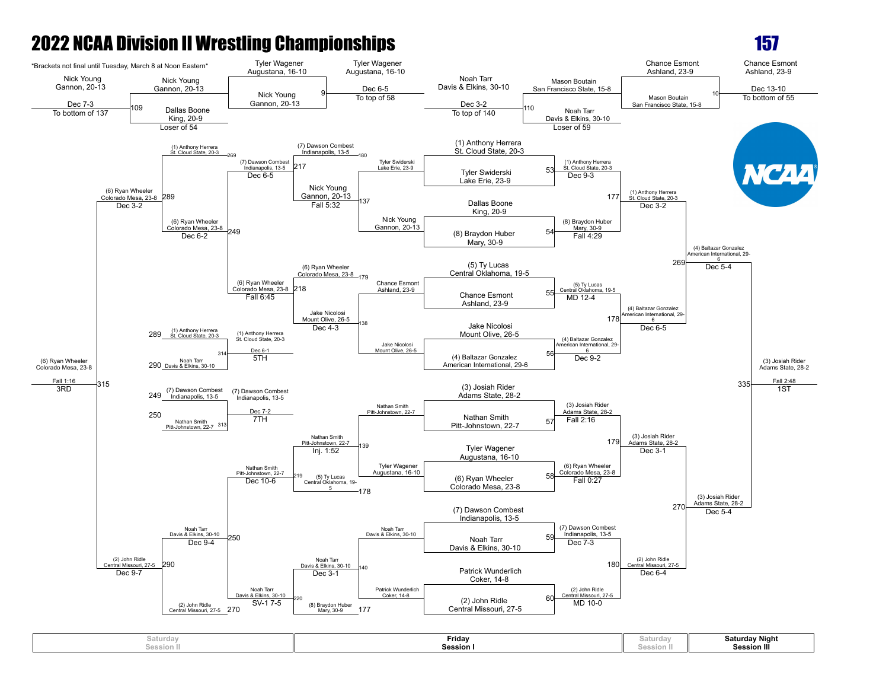

| aturdayد                               | Friday  | ∍aturda∨   | <b>Saturday Night</b> |
|----------------------------------------|---------|------------|-----------------------|
| $P_{\alpha\alpha\alpha}$<br>Session II | Session | Session II | Session III           |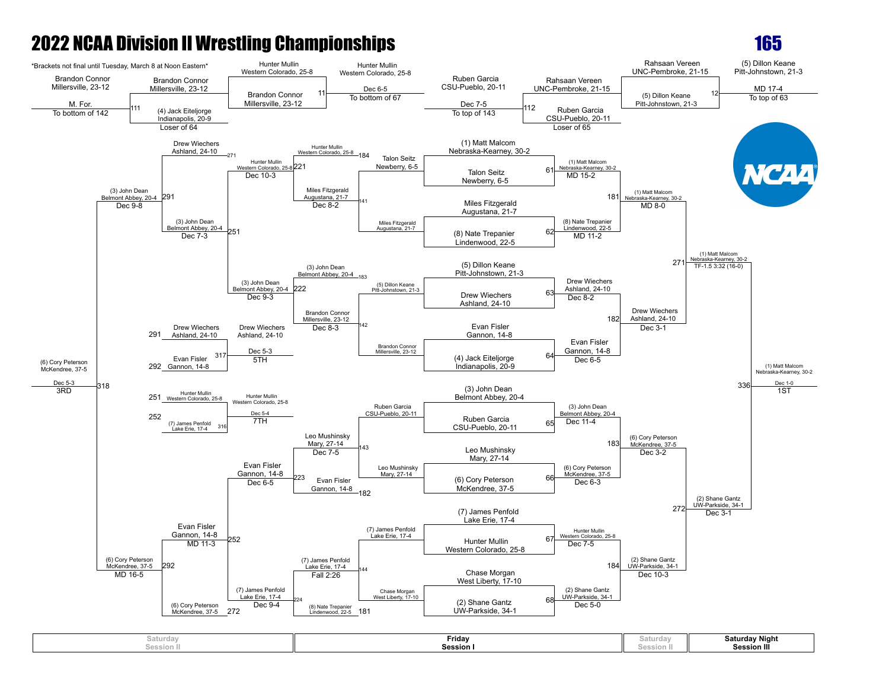**Session II**



**Session I**

**Session II**

**Session III**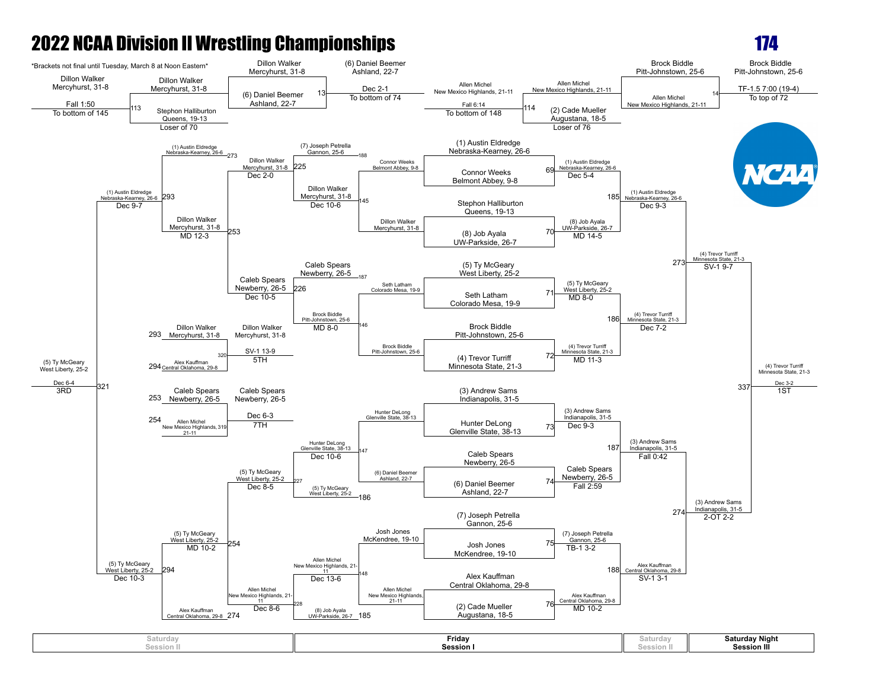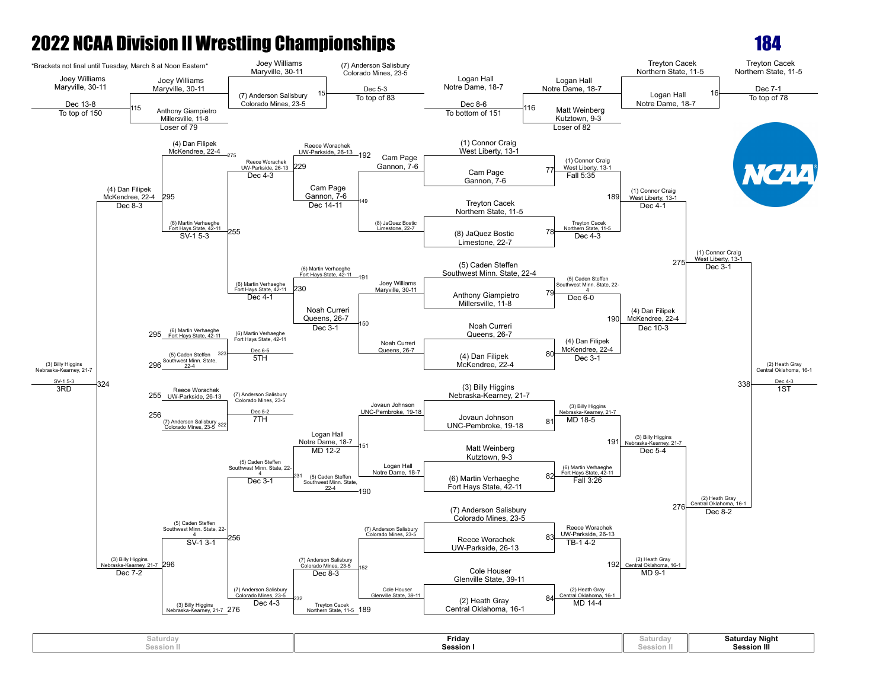

| Saturday<br>session II | Friday<br><b>Session I</b> | aturday<br>session | Saturday Night<br><b>Session III</b> |
|------------------------|----------------------------|--------------------|--------------------------------------|
|                        |                            |                    |                                      |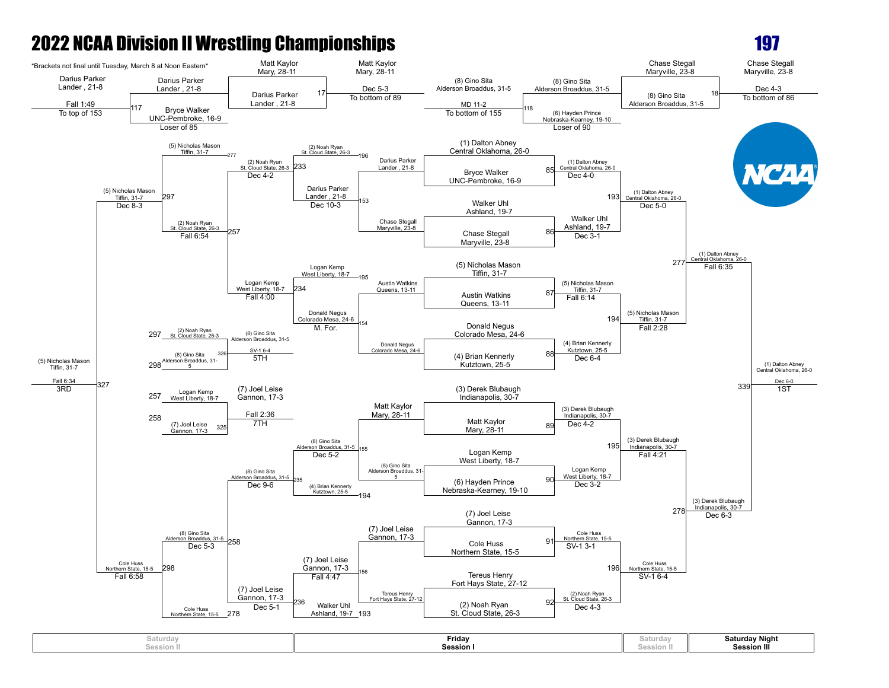